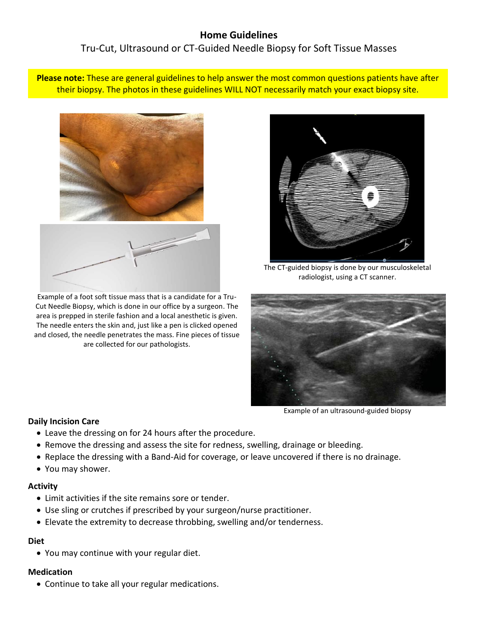# **Home Guidelines**

Tru-Cut, Ultrasound or CT-Guided Needle Biopsy for Soft Tissue Masses

**Please note:** These are general guidelines to help answer the most common questions patients have after their biopsy. The photos in these guidelines WILL NOT necessarily match your exact biopsy site.



Example of a foot soft tissue mass that is a candidate for a Tru-Cut Needle Biopsy, which is done in our office by a surgeon. The area is prepped in sterile fashion and a local anesthetic is given. The needle enters the skin and, just like a pen is clicked opened and closed, the needle penetrates the mass. Fine pieces of tissue are collected for our pathologists.



The CT-guided biopsy is done by our musculoskeletal radiologist, using a CT scanner.



Example of an ultrasound-guided biopsy

## **Daily Incision Care**

- Leave the dressing on for 24 hours after the procedure.
- Remove the dressing and assess the site for redness, swelling, drainage or bleeding.
- Replace the dressing with a Band-Aid for coverage, or leave uncovered if there is no drainage.
- You may shower.

### **Activity**

- Limit activities if the site remains sore or tender.
- Use sling or crutches if prescribed by your surgeon/nurse practitioner.
- Elevate the extremity to decrease throbbing, swelling and/or tenderness.

# **Diet**

You may continue with your regular diet.

# **Medication**

Continue to take all your regular medications.